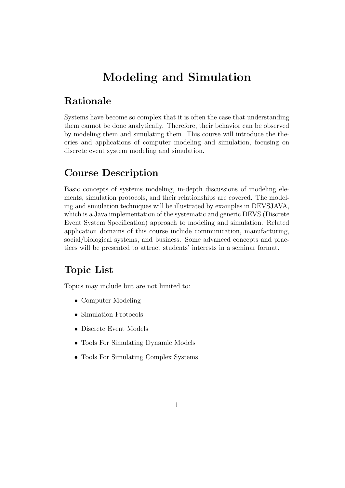# Modeling and Simulation

## Rationale

Systems have become so complex that it is often the case that understanding them cannot be done analytically. Therefore, their behavior can be observed by modeling them and simulating them. This course will introduce the theories and applications of computer modeling and simulation, focusing on discrete event system modeling and simulation.

## Course Description

Basic concepts of systems modeling, in-depth discussions of modeling elements, simulation protocols, and their relationships are covered. The modeling and simulation techniques will be illustrated by examples in DEVSJAVA, which is a Java implementation of the systematic and generic DEVS (Discrete Event System Specification) approach to modeling and simulation. Related application domains of this course include communication, manufacturing, social/biological systems, and business. Some advanced concepts and practices will be presented to attract students' interests in a seminar format.

#### Topic List

Topics may include but are not limited to:

- Computer Modeling
- Simulation Protocols
- Discrete Event Models
- Tools For Simulating Dynamic Models
- Tools For Simulating Complex Systems